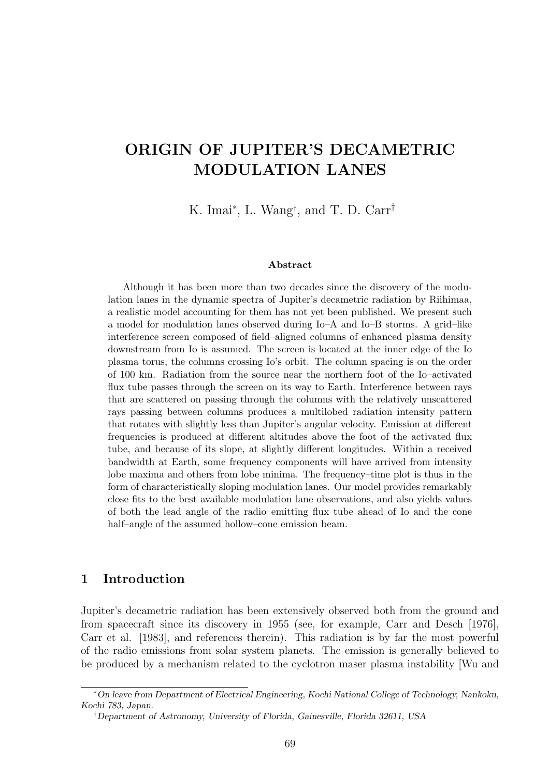# ORIGIN OF JUPITER'S DECAMETRIC MODULATION LANES

K. Imai<sup>∗</sup> , L. Wang† , and T. D. Carr†

#### Abstract

Although it has been more than two decades since the discovery of the modulation lanes in the dynamic spectra of Jupiter's decametric radiation by Riihimaa, a realistic model accounting for them has not yet been published. We present such a model for modulation lanes observed during Io–A and Io–B storms. A grid–like interference screen composed of field–aligned columns of enhanced plasma density downstream from Io is assumed. The screen is located at the inner edge of the Io plasma torus, the columns crossing Io's orbit. The column spacing is on the order of 100 km. Radiation from the source near the northern foot of the Io–activated flux tube passes through the screen on its way to Earth. Interference between rays that are scattered on passing through the columns with the relatively unscattered rays passing between columns produces a multilobed radiation intensity pattern that rotates with slightly less than Jupiter's angular velocity. Emission at different frequencies is produced at different altitudes above the foot of the activated flux tube, and because of its slope, at slightly different longitudes. Within a received bandwidth at Earth, some frequency components will have arrived from intensity lobe maxima and others from lobe minima. The frequency–time plot is thus in the form of characteristically sloping modulation lanes. Our model provides remarkably close fits to the best available modulation lane observations, and also yields values of both the lead angle of the radio–emitting flux tube ahead of Io and the cone half–angle of the assumed hollow–cone emission beam.

#### 1 Introduction

Jupiter's decametric radiation has been extensively observed both from the ground and from spacecraft since its discovery in 1955 (see, for example, Carr and Desch [1976], Carr et al. [1983], and references therein). This radiation is by far the most powerful of the radio emissions from solar system planets. The emission is generally believed to be produced by a mechanism related to the cyclotron maser plasma instability [Wu and

<sup>∗</sup>On leave from Department of Electrical Engineering, Kochi National College of Technology, Nankoku, Kochi 783, Japan.

<sup>†</sup>Department of Astronomy, University of Florida, Gainesville, Florida 32611, USA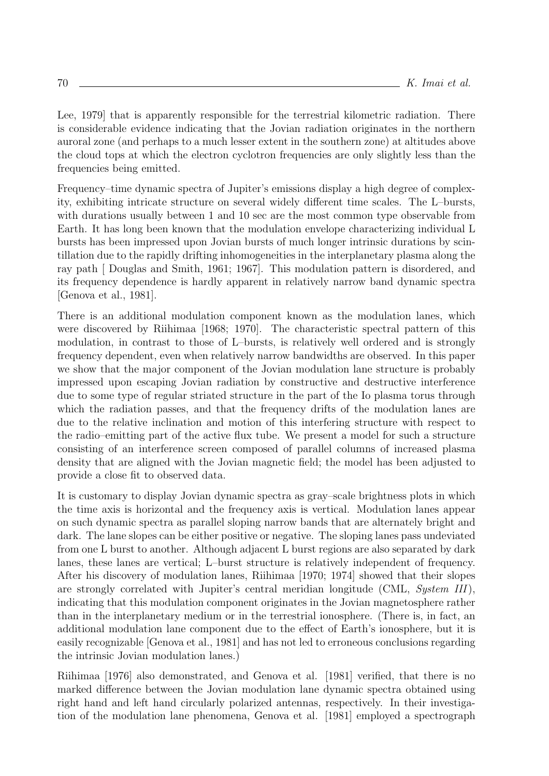Lee, 1979] that is apparently responsible for the terrestrial kilometric radiation. There is considerable evidence indicating that the Jovian radiation originates in the northern auroral zone (and perhaps to a much lesser extent in the southern zone) at altitudes above the cloud tops at which the electron cyclotron frequencies are only slightly less than the frequencies being emitted.

Frequency–time dynamic spectra of Jupiter's emissions display a high degree of complexity, exhibiting intricate structure on several widely different time scales. The L–bursts, with durations usually between 1 and 10 sec are the most common type observable from Earth. It has long been known that the modulation envelope characterizing individual L bursts has been impressed upon Jovian bursts of much longer intrinsic durations by scintillation due to the rapidly drifting inhomogeneities in the interplanetary plasma along the ray path [ Douglas and Smith, 1961; 1967]. This modulation pattern is disordered, and its frequency dependence is hardly apparent in relatively narrow band dynamic spectra [Genova et al., 1981].

There is an additional modulation component known as the modulation lanes, which were discovered by Riihimaa [1968; 1970]. The characteristic spectral pattern of this modulation, in contrast to those of L–bursts, is relatively well ordered and is strongly frequency dependent, even when relatively narrow bandwidths are observed. In this paper we show that the major component of the Jovian modulation lane structure is probably impressed upon escaping Jovian radiation by constructive and destructive interference due to some type of regular striated structure in the part of the Io plasma torus through which the radiation passes, and that the frequency drifts of the modulation lanes are due to the relative inclination and motion of this interfering structure with respect to the radio–emitting part of the active flux tube. We present a model for such a structure consisting of an interference screen composed of parallel columns of increased plasma density that are aligned with the Jovian magnetic field; the model has been adjusted to provide a close fit to observed data.

It is customary to display Jovian dynamic spectra as gray–scale brightness plots in which the time axis is horizontal and the frequency axis is vertical. Modulation lanes appear on such dynamic spectra as parallel sloping narrow bands that are alternately bright and dark. The lane slopes can be either positive or negative. The sloping lanes pass undeviated from one L burst to another. Although adjacent L burst regions are also separated by dark lanes, these lanes are vertical; L–burst structure is relatively independent of frequency. After his discovery of modulation lanes, Riihimaa [1970; 1974] showed that their slopes are strongly correlated with Jupiter's central meridian longitude (CML, System III), indicating that this modulation component originates in the Jovian magnetosphere rather than in the interplanetary medium or in the terrestrial ionosphere. (There is, in fact, an additional modulation lane component due to the effect of Earth's ionosphere, but it is easily recognizable [Genova et al., 1981] and has not led to erroneous conclusions regarding the intrinsic Jovian modulation lanes.)

Riihimaa [1976] also demonstrated, and Genova et al. [1981] verified, that there is no marked difference between the Jovian modulation lane dynamic spectra obtained using right hand and left hand circularly polarized antennas, respectively. In their investigation of the modulation lane phenomena, Genova et al. [1981] employed a spectrograph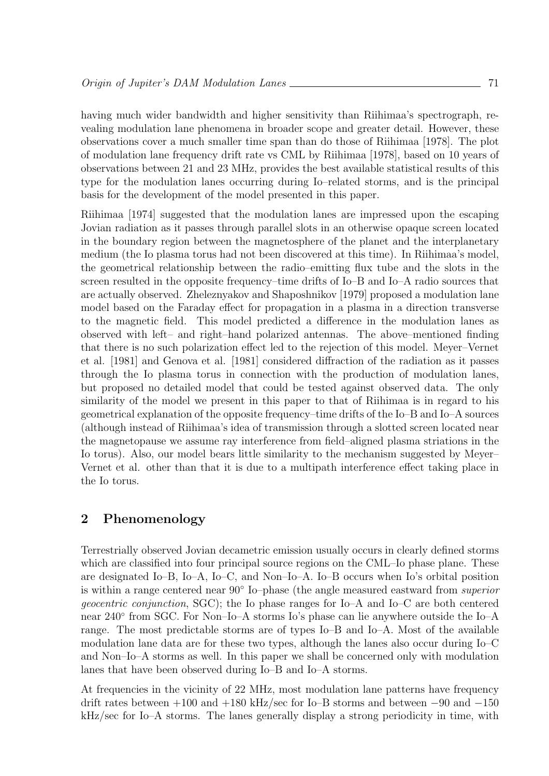having much wider bandwidth and higher sensitivity than Riihimaa's spectrograph, revealing modulation lane phenomena in broader scope and greater detail. However, these observations cover a much smaller time span than do those of Riihimaa [1978]. The plot of modulation lane frequency drift rate vs CML by Riihimaa [1978], based on 10 years of observations between 21 and 23 MHz, provides the best available statistical results of this type for the modulation lanes occurring during Io–related storms, and is the principal basis for the development of the model presented in this paper.

Riihimaa [1974] suggested that the modulation lanes are impressed upon the escaping Jovian radiation as it passes through parallel slots in an otherwise opaque screen located in the boundary region between the magnetosphere of the planet and the interplanetary medium (the Io plasma torus had not been discovered at this time). In Riihimaa's model, the geometrical relationship between the radio–emitting flux tube and the slots in the screen resulted in the opposite frequency–time drifts of Io–B and Io–A radio sources that are actually observed. Zheleznyakov and Shaposhnikov [1979] proposed a modulation lane model based on the Faraday effect for propagation in a plasma in a direction transverse to the magnetic field. This model predicted a difference in the modulation lanes as observed with left– and right–hand polarized antennas. The above–mentioned finding that there is no such polarization effect led to the rejection of this model. Meyer–Vernet et al. [1981] and Genova et al. [1981] considered diffraction of the radiation as it passes through the Io plasma torus in connection with the production of modulation lanes, but proposed no detailed model that could be tested against observed data. The only similarity of the model we present in this paper to that of Riihimaa is in regard to his geometrical explanation of the opposite frequency–time drifts of the Io–B and Io–A sources (although instead of Riihimaa's idea of transmission through a slotted screen located near the magnetopause we assume ray interference from field–aligned plasma striations in the Io torus). Also, our model bears little similarity to the mechanism suggested by Meyer– Vernet et al. other than that it is due to a multipath interference effect taking place in the Io torus.

# 2 Phenomenology

Terrestrially observed Jovian decametric emission usually occurs in clearly defined storms which are classified into four principal source regions on the CML–Io phase plane. These are designated Io–B, Io–A, Io–C, and Non–Io–A. Io–B occurs when Io's orbital position is within a range centered near 90◦ Io–phase (the angle measured eastward from superior geocentric conjunction, SGC); the Io phase ranges for Io–A and Io–C are both centered near 240◦ from SGC. For Non–Io–A storms Io's phase can lie anywhere outside the Io–A range. The most predictable storms are of types Io–B and Io–A. Most of the available modulation lane data are for these two types, although the lanes also occur during Io–C and Non–Io–A storms as well. In this paper we shall be concerned only with modulation lanes that have been observed during Io–B and Io–A storms.

At frequencies in the vicinity of 22 MHz, most modulation lane patterns have frequency drift rates between +100 and +180 kHz/sec for Io–B storms and between −90 and −150 kHz/sec for Io–A storms. The lanes generally display a strong periodicity in time, with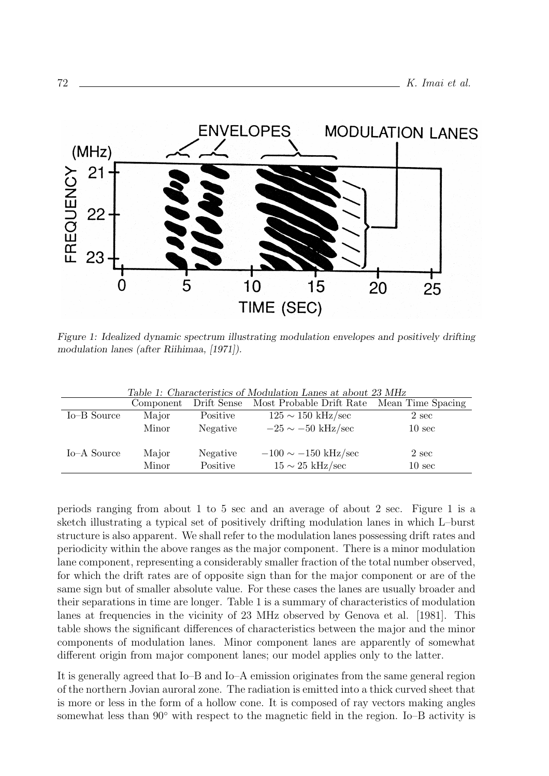

Figure 1: Idealized dynamic spectrum illustrating modulation envelopes and positively drifting modulation lanes (after Riihimaa, [1971]).

|             |                |                      | Table 1. Characteristics of Modulation Lanes at about 25 MHz<br>Component Drift Sense Most Probable Drift Rate | Mean Time Spacing         |
|-------------|----------------|----------------------|----------------------------------------------------------------------------------------------------------------|---------------------------|
| Io-B Source | Major          | Positive             | $125 \sim 150 \text{ kHz/sec}$                                                                                 | 2 sec                     |
|             | Minor          | Negative             | $-25 \sim -50$ kHz/sec                                                                                         | 10 <sub>sec</sub>         |
| Io–A Source | Major<br>Minor | Negative<br>Positive | $-100 \sim -150$ kHz/sec<br>$15 \sim 25 \text{ kHz/sec}$                                                       | 2 sec<br>$10 \text{ sec}$ |

Table 1: Characteristics of Modulation Lanes at about 23 MHz

periods ranging from about 1 to 5 sec and an average of about 2 sec. Figure 1 is a sketch illustrating a typical set of positively drifting modulation lanes in which L–burst structure is also apparent. We shall refer to the modulation lanes possessing drift rates and periodicity within the above ranges as the major component. There is a minor modulation lane component, representing a considerably smaller fraction of the total number observed, for which the drift rates are of opposite sign than for the major component or are of the same sign but of smaller absolute value. For these cases the lanes are usually broader and their separations in time are longer. Table 1 is a summary of characteristics of modulation lanes at frequencies in the vicinity of 23 MHz observed by Genova et al. [1981]. This table shows the significant differences of characteristics between the major and the minor components of modulation lanes. Minor component lanes are apparently of somewhat different origin from major component lanes; our model applies only to the latter.

It is generally agreed that Io–B and Io–A emission originates from the same general region of the northern Jovian auroral zone. The radiation is emitted into a thick curved sheet that is more or less in the form of a hollow cone. It is composed of ray vectors making angles somewhat less than 90° with respect to the magnetic field in the region. Io–B activity is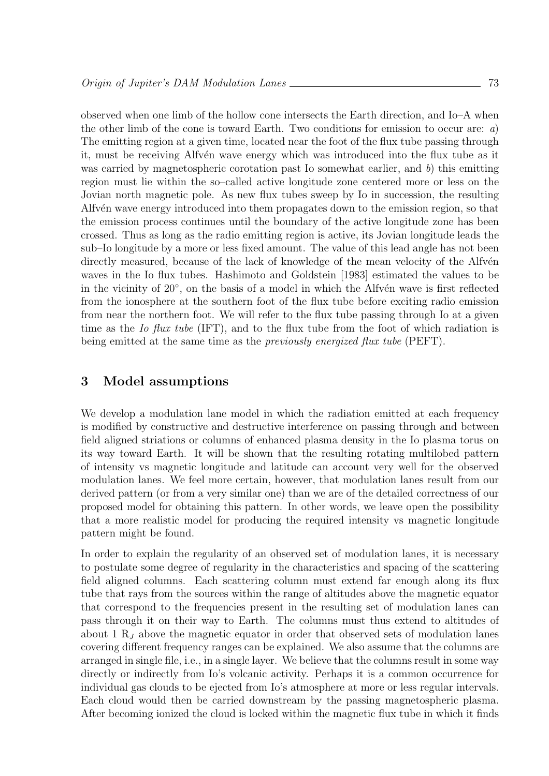observed when one limb of the hollow cone intersects the Earth direction, and Io–A when the other limb of the cone is toward Earth. Two conditions for emission to occur are:  $a$ ) The emitting region at a given time, located near the foot of the flux tube passing through it, must be receiving Alfvén wave energy which was introduced into the flux tube as it was carried by magnetospheric corotation past Io somewhat earlier, and  $b$ ) this emitting region must lie within the so–called active longitude zone centered more or less on the Jovian north magnetic pole. As new flux tubes sweep by Io in succession, the resulting Alfv $\acute{e}$ n wave energy introduced into them propagates down to the emission region, so that the emission process continues until the boundary of the active longitude zone has been crossed. Thus as long as the radio emitting region is active, its Jovian longitude leads the sub–Io longitude by a more or less fixed amount. The value of this lead angle has not been directly measured, because of the lack of knowledge of the mean velocity of the Alfvén waves in the Io flux tubes. Hashimoto and Goldstein [1983] estimated the values to be in the vicinity of 20<sup>°</sup>, on the basis of a model in which the Alfvén wave is first reflected from the ionosphere at the southern foot of the flux tube before exciting radio emission from near the northern foot. We will refer to the flux tube passing through Io at a given time as the Io flux tube (IFT), and to the flux tube from the foot of which radiation is being emitted at the same time as the *previously energized flux tube* (PEFT).

#### 3 Model assumptions

We develop a modulation lane model in which the radiation emitted at each frequency is modified by constructive and destructive interference on passing through and between field aligned striations or columns of enhanced plasma density in the Io plasma torus on its way toward Earth. It will be shown that the resulting rotating multilobed pattern of intensity vs magnetic longitude and latitude can account very well for the observed modulation lanes. We feel more certain, however, that modulation lanes result from our derived pattern (or from a very similar one) than we are of the detailed correctness of our proposed model for obtaining this pattern. In other words, we leave open the possibility that a more realistic model for producing the required intensity vs magnetic longitude pattern might be found.

In order to explain the regularity of an observed set of modulation lanes, it is necessary to postulate some degree of regularity in the characteristics and spacing of the scattering field aligned columns. Each scattering column must extend far enough along its flux tube that rays from the sources within the range of altitudes above the magnetic equator that correspond to the frequencies present in the resulting set of modulation lanes can pass through it on their way to Earth. The columns must thus extend to altitudes of about 1  $R_J$  above the magnetic equator in order that observed sets of modulation lanes covering different frequency ranges can be explained. We also assume that the columns are arranged in single file, i.e., in a single layer. We believe that the columns result in some way directly or indirectly from Io's volcanic activity. Perhaps it is a common occurrence for individual gas clouds to be ejected from Io's atmosphere at more or less regular intervals. Each cloud would then be carried downstream by the passing magnetospheric plasma. After becoming ionized the cloud is locked within the magnetic flux tube in which it finds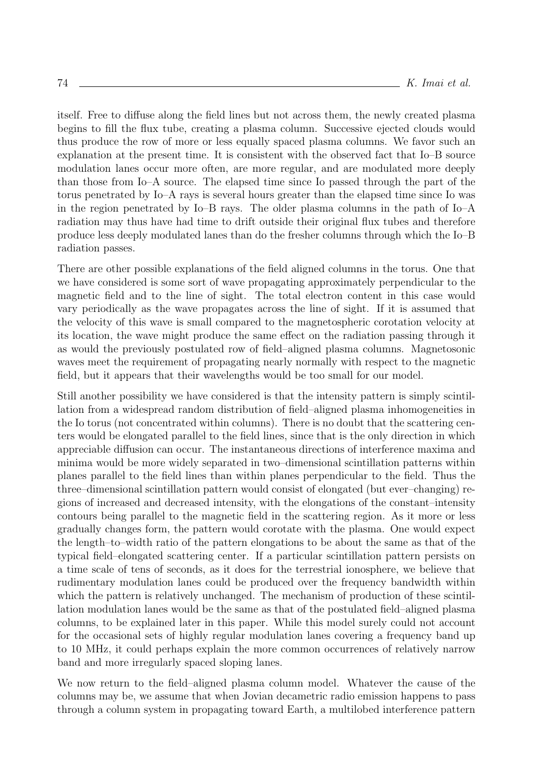itself. Free to diffuse along the field lines but not across them, the newly created plasma begins to fill the flux tube, creating a plasma column. Successive ejected clouds would thus produce the row of more or less equally spaced plasma columns. We favor such an explanation at the present time. It is consistent with the observed fact that Io–B source modulation lanes occur more often, are more regular, and are modulated more deeply than those from Io–A source. The elapsed time since Io passed through the part of the torus penetrated by Io–A rays is several hours greater than the elapsed time since Io was in the region penetrated by Io–B rays. The older plasma columns in the path of Io–A radiation may thus have had time to drift outside their original flux tubes and therefore produce less deeply modulated lanes than do the fresher columns through which the Io–B radiation passes.

There are other possible explanations of the field aligned columns in the torus. One that we have considered is some sort of wave propagating approximately perpendicular to the magnetic field and to the line of sight. The total electron content in this case would vary periodically as the wave propagates across the line of sight. If it is assumed that the velocity of this wave is small compared to the magnetospheric corotation velocity at its location, the wave might produce the same effect on the radiation passing through it as would the previously postulated row of field–aligned plasma columns. Magnetosonic waves meet the requirement of propagating nearly normally with respect to the magnetic field, but it appears that their wavelengths would be too small for our model.

Still another possibility we have considered is that the intensity pattern is simply scintillation from a widespread random distribution of field–aligned plasma inhomogeneities in the Io torus (not concentrated within columns). There is no doubt that the scattering centers would be elongated parallel to the field lines, since that is the only direction in which appreciable diffusion can occur. The instantaneous directions of interference maxima and minima would be more widely separated in two–dimensional scintillation patterns within planes parallel to the field lines than within planes perpendicular to the field. Thus the three–dimensional scintillation pattern would consist of elongated (but ever–changing) regions of increased and decreased intensity, with the elongations of the constant–intensity contours being parallel to the magnetic field in the scattering region. As it more or less gradually changes form, the pattern would corotate with the plasma. One would expect the length–to–width ratio of the pattern elongations to be about the same as that of the typical field–elongated scattering center. If a particular scintillation pattern persists on a time scale of tens of seconds, as it does for the terrestrial ionosphere, we believe that rudimentary modulation lanes could be produced over the frequency bandwidth within which the pattern is relatively unchanged. The mechanism of production of these scintillation modulation lanes would be the same as that of the postulated field–aligned plasma columns, to be explained later in this paper. While this model surely could not account for the occasional sets of highly regular modulation lanes covering a frequency band up to 10 MHz, it could perhaps explain the more common occurrences of relatively narrow band and more irregularly spaced sloping lanes.

We now return to the field–aligned plasma column model. Whatever the cause of the columns may be, we assume that when Jovian decametric radio emission happens to pass through a column system in propagating toward Earth, a multilobed interference pattern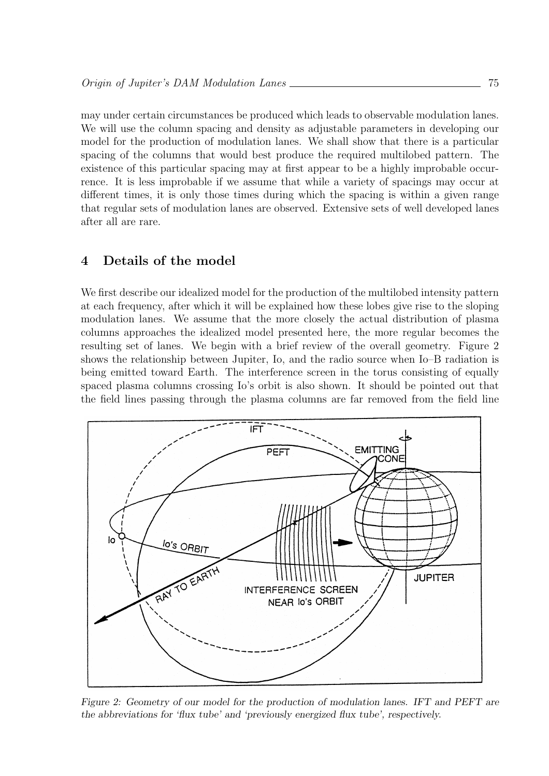may under certain circumstances be produced which leads to observable modulation lanes. We will use the column spacing and density as adjustable parameters in developing our model for the production of modulation lanes. We shall show that there is a particular spacing of the columns that would best produce the required multilobed pattern. The existence of this particular spacing may at first appear to be a highly improbable occurrence. It is less improbable if we assume that while a variety of spacings may occur at different times, it is only those times during which the spacing is within a given range that regular sets of modulation lanes are observed. Extensive sets of well developed lanes after all are rare.

# 4 Details of the model

We first describe our idealized model for the production of the multilobed intensity pattern at each frequency, after which it will be explained how these lobes give rise to the sloping modulation lanes. We assume that the more closely the actual distribution of plasma columns approaches the idealized model presented here, the more regular becomes the resulting set of lanes. We begin with a brief review of the overall geometry. Figure 2 shows the relationship between Jupiter, Io, and the radio source when Io–B radiation is being emitted toward Earth. The interference screen in the torus consisting of equally spaced plasma columns crossing Io's orbit is also shown. It should be pointed out that the field lines passing through the plasma columns are far removed from the field line



Figure 2: Geometry of our model for the production of modulation lanes. IFT and PEFT are the abbreviations for 'flux tube' and 'previously energized flux tube', respectively.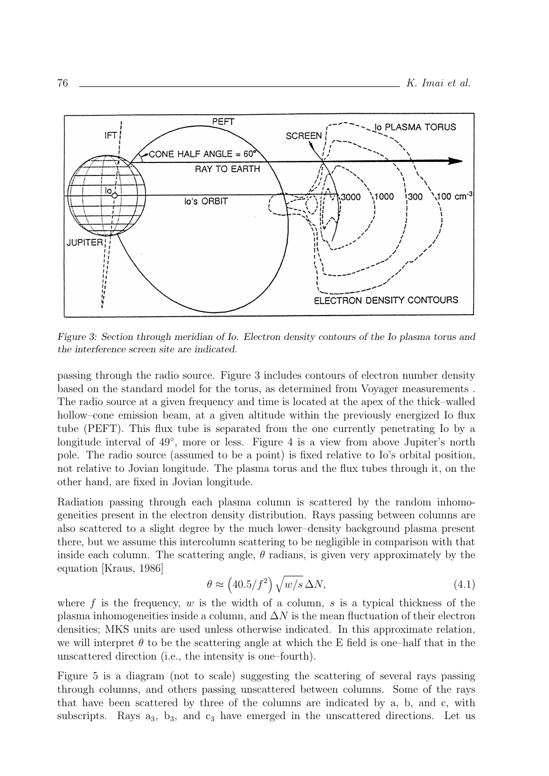

Figure 3: Section through meridian of Io. Electron density contours of the Io plasma torus and the interference screen site are indicated.

passing through the radio source. Figure 3 includes contours of electron number density based on the standard model for the torus, as determined from Voyager measurements . The radio source at a given frequency and time is located at the apex of the thick–walled hollow–cone emission beam, at a given altitude within the previously energized Io flux tube (PEFT). This flux tube is separated from the one currently penetrating Io by a longitude interval of 49°, more or less. Figure 4 is a view from above Jupiter's north pole. The radio source (assumed to be a point) is fixed relative to Io's orbital position, not relative to Jovian longitude. The plasma torus and the flux tubes through it, on the other hand, are fixed in Jovian longitude.

Radiation passing through each plasma column is scattered by the random inhomogeneities present in the electron density distribution. Rays passing between columns are also scattered to a slight degree by the much lower–density background plasma present there, but we assume this intercolumn scattering to be negligible in comparison with that inside each column. The scattering angle,  $\theta$  radians, is given very approximately by the equation [Kraus, 1986]

$$
\theta \approx \left(40.5/f^2\right)\sqrt{w/s}\,\Delta N,\tag{4.1}
$$

where f is the frequency, w is the width of a column, s is a typical thickness of the plasma inhomogeneities inside a column, and  $\Delta N$  is the mean fluctuation of their electron densities; MKS units are used unless otherwise indicated. In this approximate relation, we will interpret  $\theta$  to be the scattering angle at which the E field is one-half that in the unscattered direction (i.e., the intensity is one–fourth).

Figure 5 is a diagram (not to scale) suggesting the scattering of several rays passing through columns, and others passing unscattered between columns. Some of the rays that have been scattered by three of the columns are indicated by a, b, and c, with subscripts. Rays  $a_3$ ,  $b_3$ , and  $c_3$  have emerged in the unscattered directions. Let us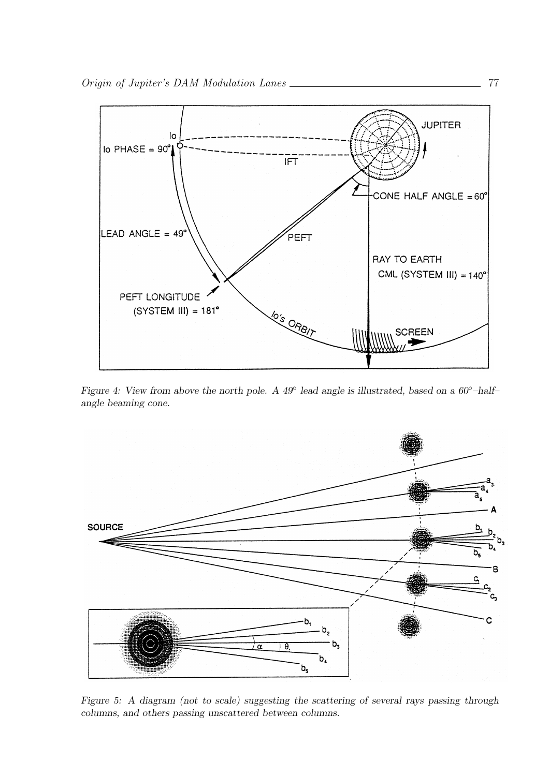

Figure 4: View from above the north pole. A 49° lead angle is illustrated, based on a 60°-halfangle beaming cone.



Figure 5: A diagram (not to scale) suggesting the scattering of several rays passing through columns, and others passing unscattered between columns.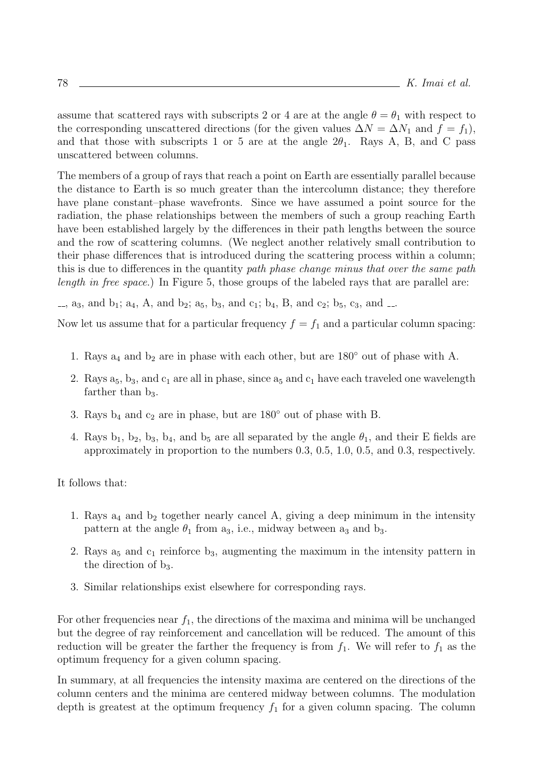assume that scattered rays with subscripts 2 or 4 are at the angle  $\theta = \theta_1$  with respect to the corresponding unscattered directions (for the given values  $\Delta N = \Delta N_1$  and  $f = f_1$ ), and that those with subscripts 1 or 5 are at the angle  $2\theta_1$ . Rays A, B, and C pass unscattered between columns.

The members of a group of rays that reach a point on Earth are essentially parallel because the distance to Earth is so much greater than the intercolumn distance; they therefore have plane constant–phase wavefronts. Since we have assumed a point source for the radiation, the phase relationships between the members of such a group reaching Earth have been established largely by the differences in their path lengths between the source and the row of scattering columns. (We neglect another relatively small contribution to their phase differences that is introduced during the scattering process within a column; this is due to differences in the quantity path phase change minus that over the same path length in free space.) In Figure 5, those groups of the labeled rays that are parallel are:

 $\ldots$ , a<sub>3</sub>, and b<sub>1</sub>; a<sub>4</sub>, A, and b<sub>2</sub>; a<sub>5</sub>, b<sub>3</sub>, and c<sub>1</sub>; b<sub>4</sub>, B, and c<sub>2</sub>; b<sub>5</sub>, c<sub>3</sub>, and  $\ldots$ 

Now let us assume that for a particular frequency  $f = f_1$  and a particular column spacing:

- 1. Rays  $a_4$  and  $b_2$  are in phase with each other, but are 180 $\degree$  out of phase with A.
- 2. Rays  $a_5$ ,  $b_3$ , and  $c_1$  are all in phase, since  $a_5$  and  $c_1$  have each traveled one wavelength farther than  $b_3$ .
- 3. Rays  $b_4$  and  $c_2$  are in phase, but are 180 $\degree$  out of phase with B.
- 4. Rays  $b_1$ ,  $b_2$ ,  $b_3$ ,  $b_4$ , and  $b_5$  are all separated by the angle  $\theta_1$ , and their E fields are approximately in proportion to the numbers 0.3, 0.5, 1.0, 0.5, and 0.3, respectively.

It follows that:

- 1. Rays  $a_4$  and  $b_2$  together nearly cancel A, giving a deep minimum in the intensity pattern at the angle  $\theta_1$  from  $a_3$ , i.e., midway between  $a_3$  and  $b_3$ .
- 2. Rays  $a_5$  and  $c_1$  reinforce  $b_3$ , augmenting the maximum in the intensity pattern in the direction of  $b_3$ .
- 3. Similar relationships exist elsewhere for corresponding rays.

For other frequencies near  $f_1$ , the directions of the maxima and minima will be unchanged but the degree of ray reinforcement and cancellation will be reduced. The amount of this reduction will be greater the farther the frequency is from  $f_1$ . We will refer to  $f_1$  as the optimum frequency for a given column spacing.

In summary, at all frequencies the intensity maxima are centered on the directions of the column centers and the minima are centered midway between columns. The modulation depth is greatest at the optimum frequency  $f_1$  for a given column spacing. The column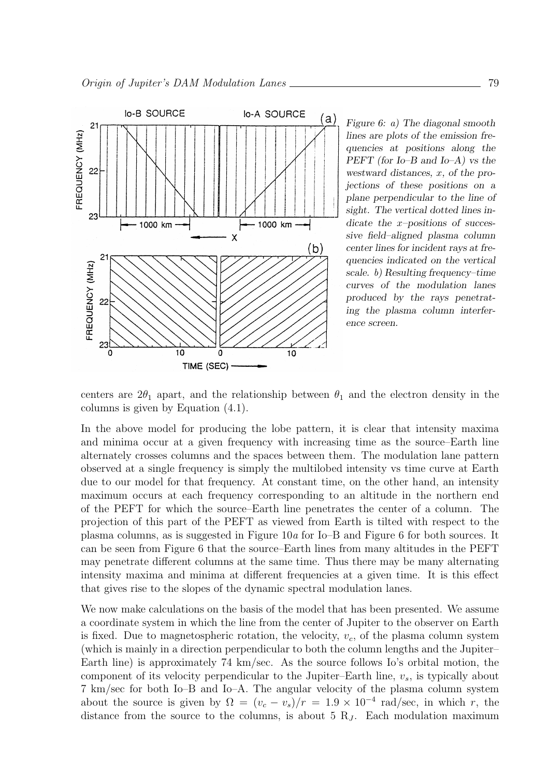

Figure 6: a) The diagonal smooth lines are plots of the emission frequencies at positions along the PEFT (for Io–B and Io–A) vs the westward distances, x, of the projections of these positions on a plane perpendicular to the line of sight. The vertical dotted lines indicate the x-positions of successive field–aligned plasma column center lines for incident rays at frequencies indicated on the vertical scale. b) Resulting frequency–time curves of the modulation lanes produced by the rays penetrating the plasma column interference screen.

centers are  $2\theta_1$  apart, and the relationship between  $\theta_1$  and the electron density in the columns is given by Equation (4.1).

In the above model for producing the lobe pattern, it is clear that intensity maxima and minima occur at a given frequency with increasing time as the source–Earth line alternately crosses columns and the spaces between them. The modulation lane pattern observed at a single frequency is simply the multilobed intensity vs time curve at Earth due to our model for that frequency. At constant time, on the other hand, an intensity maximum occurs at each frequency corresponding to an altitude in the northern end of the PEFT for which the source–Earth line penetrates the center of a column. The projection of this part of the PEFT as viewed from Earth is tilted with respect to the plasma columns, as is suggested in Figure  $10a$  for  $I_0$ –B and Figure 6 for both sources. It can be seen from Figure 6 that the source–Earth lines from many altitudes in the PEFT may penetrate different columns at the same time. Thus there may be many alternating intensity maxima and minima at different frequencies at a given time. It is this effect that gives rise to the slopes of the dynamic spectral modulation lanes.

We now make calculations on the basis of the model that has been presented. We assume a coordinate system in which the line from the center of Jupiter to the observer on Earth is fixed. Due to magnetospheric rotation, the velocity,  $v_c$ , of the plasma column system (which is mainly in a direction perpendicular to both the column lengths and the Jupiter– Earth line) is approximately 74 km/sec. As the source follows Io's orbital motion, the component of its velocity perpendicular to the Jupiter–Earth line,  $v_s$ , is typically about 7 km/sec for both Io–B and Io–A. The angular velocity of the plasma column system about the source is given by  $\Omega = (v_c - v_s)/r = 1.9 \times 10^{-4}$  rad/sec, in which r, the distance from the source to the columns, is about 5  $R_J$ . Each modulation maximum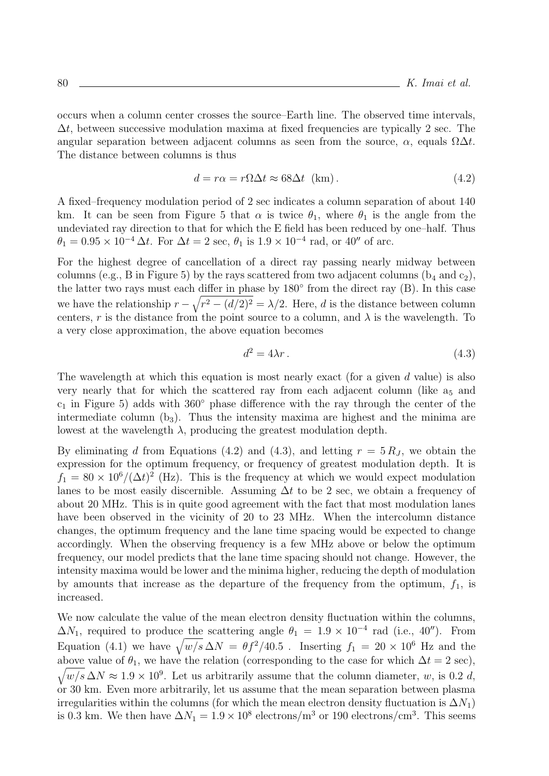occurs when a column center crosses the source–Earth line. The observed time intervals,  $\Delta t$ , between successive modulation maxima at fixed frequencies are typically 2 sec. The angular separation between adjacent columns as seen from the source,  $\alpha$ , equals  $\Omega \Delta t$ . The distance between columns is thus

$$
d = r\alpha = r\Omega\Delta t \approx 68\Delta t \text{ (km)}.
$$
 (4.2)

A fixed–frequency modulation period of 2 sec indicates a column separation of about 140 km. It can be seen from Figure 5 that  $\alpha$  is twice  $\theta_1$ , where  $\theta_1$  is the angle from the undeviated ray direction to that for which the E field has been reduced by one–half. Thus  $\theta_1 = 0.95 \times 10^{-4} \,\Delta t$ . For  $\Delta t = 2$  sec,  $\theta_1$  is  $1.9 \times 10^{-4}$  rad, or  $40''$  of arc.

For the highest degree of cancellation of a direct ray passing nearly midway between columns (e.g., B in Figure 5) by the rays scattered from two adjacent columns ( $b_4$  and  $c_2$ ), the latter two rays must each differ in phase by 180◦ from the direct ray (B). In this case we have the relationship  $r - \sqrt{r^2 - (d/2)^2} = \lambda/2$ . Here, d is the distance between column centers, r is the distance from the point source to a column, and  $\lambda$  is the wavelength. To a very close approximation, the above equation becomes

$$
d^2 = 4\lambda r \tag{4.3}
$$

The wavelength at which this equation is most nearly exact (for a given  $d$  value) is also very nearly that for which the scattered ray from each adjacent column (like  $a_5$  and  $c_1$  in Figure 5) adds with 360 $\degree$  phase difference with the ray through the center of the intermediate column  $(b_3)$ . Thus the intensity maxima are highest and the minima are lowest at the wavelength  $\lambda$ , producing the greatest modulation depth.

By eliminating d from Equations (4.2) and (4.3), and letting  $r = 5 R_J$ , we obtain the expression for the optimum frequency, or frequency of greatest modulation depth. It is  $f_1 = 80 \times 10^6/(\Delta t)^2$  (Hz). This is the frequency at which we would expect modulation lanes to be most easily discernible. Assuming  $\Delta t$  to be 2 sec, we obtain a frequency of about 20 MHz. This is in quite good agreement with the fact that most modulation lanes have been observed in the vicinity of 20 to 23 MHz. When the intercolumn distance changes, the optimum frequency and the lane time spacing would be expected to change accordingly. When the observing frequency is a few MHz above or below the optimum frequency, our model predicts that the lane time spacing should not change. However, the intensity maxima would be lower and the minima higher, reducing the depth of modulation by amounts that increase as the departure of the frequency from the optimum,  $f_1$ , is increased.

We now calculate the value of the mean electron density fluctuation within the columns,  $\Delta N_1$ , required to produce the scattering angle  $\theta_1 = 1.9 \times 10^{-4}$  rad (i.e., 40"). From Equation (4.1) we have  $\sqrt{w/s} \Delta N = \theta f^2 / 40.5$ . Inserting  $f_1 = 20 \times 10^6$  Hz and the above value of  $\theta_1$ , we have the relation (corresponding to the case for which  $\Delta t = 2 \text{ sec}$ ),  $\sqrt{w/s} \Delta N \approx 1.9 \times 10^9$ . Let us arbitrarily assume that the column diameter, w, is 0.2 d, or 30 km. Even more arbitrarily, let us assume that the mean separation between plasma irregularities within the columns (for which the mean electron density fluctuation is  $\Delta N_1$ ) is 0.3 km. We then have  $\Delta N_1 = 1.9 \times 10^8$  electrons/m<sup>3</sup> or 190 electrons/cm<sup>3</sup>. This seems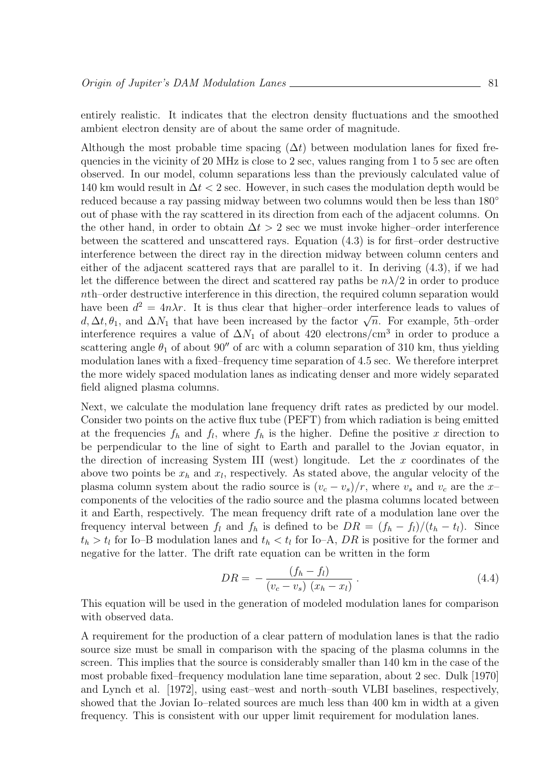entirely realistic. It indicates that the electron density fluctuations and the smoothed ambient electron density are of about the same order of magnitude.

Although the most probable time spacing  $(\Delta t)$  between modulation lanes for fixed frequencies in the vicinity of 20 MHz is close to 2 sec, values ranging from 1 to 5 sec are often observed. In our model, column separations less than the previously calculated value of 140 km would result in  $\Delta t < 2$  sec. However, in such cases the modulation depth would be reduced because a ray passing midway between two columns would then be less than 180◦ out of phase with the ray scattered in its direction from each of the adjacent columns. On the other hand, in order to obtain  $\Delta t > 2$  sec we must invoke higher–order interference between the scattered and unscattered rays. Equation (4.3) is for first–order destructive interference between the direct ray in the direction midway between column centers and either of the adjacent scattered rays that are parallel to it. In deriving (4.3), if we had let the difference between the direct and scattered ray paths be  $n\lambda/2$  in order to produce nth–order destructive interference in this direction, the required column separation would have been  $d^2 = 4n\lambda r$ . It is thus clear that higher-order interference leads to values of d,  $\Delta t$ ,  $\theta_1$ , and  $\Delta N_1$  that have been increased by the factor  $\sqrt{n}$ . For example, 5th–order interference requires a value of  $\Delta N_1$  of about 420 electrons/cm<sup>3</sup> in order to produce a scattering angle  $\theta_1$  of about 90" of arc with a column separation of 310 km, thus yielding modulation lanes with a fixed–frequency time separation of 4.5 sec. We therefore interpret the more widely spaced modulation lanes as indicating denser and more widely separated field aligned plasma columns.

Next, we calculate the modulation lane frequency drift rates as predicted by our model. Consider two points on the active flux tube (PEFT) from which radiation is being emitted at the frequencies  $f_h$  and  $f_l$ , where  $f_h$  is the higher. Define the positive x direction to be perpendicular to the line of sight to Earth and parallel to the Jovian equator, in the direction of increasing System III (west) longitude. Let the  $x$  coordinates of the above two points be  $x_h$  and  $x_l$ , respectively. As stated above, the angular velocity of the plasma column system about the radio source is  $(v_c - v_s)/r$ , where  $v_s$  and  $v_c$  are the x– components of the velocities of the radio source and the plasma columns located between it and Earth, respectively. The mean frequency drift rate of a modulation lane over the frequency interval between  $f_l$  and  $f_h$  is defined to be  $DR = (f_h - f_l)/(t_h - t_l)$ . Since  $t_h > t_l$  for Io–B modulation lanes and  $t_h < t_l$  for Io–A, DR is positive for the former and negative for the latter. The drift rate equation can be written in the form

$$
DR = -\frac{(f_h - f_l)}{(v_c - v_s)(x_h - x_l)}.
$$
\n(4.4)

This equation will be used in the generation of modeled modulation lanes for comparison with observed data.

A requirement for the production of a clear pattern of modulation lanes is that the radio source size must be small in comparison with the spacing of the plasma columns in the screen. This implies that the source is considerably smaller than 140 km in the case of the most probable fixed–frequency modulation lane time separation, about 2 sec. Dulk [1970] and Lynch et al. [1972], using east–west and north–south VLBI baselines, respectively, showed that the Jovian Io–related sources are much less than 400 km in width at a given frequency. This is consistent with our upper limit requirement for modulation lanes.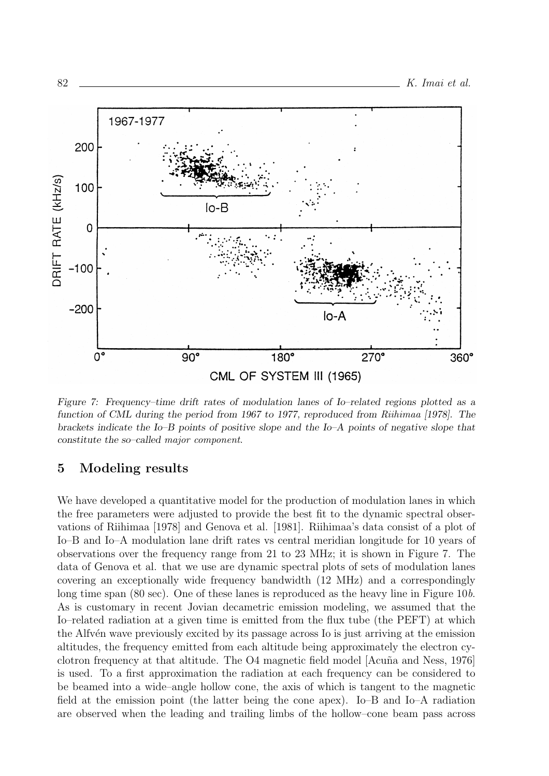

Figure 7: Frequency–time drift rates of modulation lanes of Io–related regions plotted as a function of CML during the period from 1967 to 1977, reproduced from Riihimaa [1978]. The brackets indicate the Io–B points of positive slope and the Io–A points of negative slope that constitute the so–called major component.

### 5 Modeling results

We have developed a quantitative model for the production of modulation lanes in which the free parameters were adjusted to provide the best fit to the dynamic spectral observations of Riihimaa [1978] and Genova et al. [1981]. Riihimaa's data consist of a plot of Io–B and Io–A modulation lane drift rates vs central meridian longitude for 10 years of observations over the frequency range from 21 to 23 MHz; it is shown in Figure 7. The data of Genova et al. that we use are dynamic spectral plots of sets of modulation lanes covering an exceptionally wide frequency bandwidth (12 MHz) and a correspondingly long time span (80 sec). One of these lanes is reproduced as the heavy line in Figure 10b. As is customary in recent Jovian decametric emission modeling, we assumed that the Io–related radiation at a given time is emitted from the flux tube (the PEFT) at which the Alfv<sup>en</sup> wave previously excited by its passage across Io is just arriving at the emission altitudes, the frequency emitted from each altitude being approximately the electron cyclotron frequency at that altitude. The O4 magnetic field model [Acuna and Ness, 1976] is used. To a first approximation the radiation at each frequency can be considered to be beamed into a wide–angle hollow cone, the axis of which is tangent to the magnetic field at the emission point (the latter being the cone apex). Io–B and Io–A radiation are observed when the leading and trailing limbs of the hollow–cone beam pass across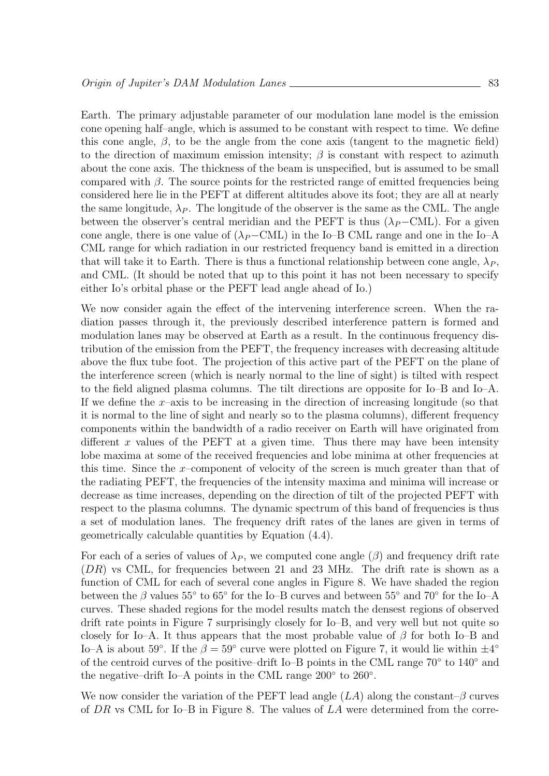Earth. The primary adjustable parameter of our modulation lane model is the emission cone opening half–angle, which is assumed to be constant with respect to time. We define this cone angle,  $\beta$ , to be the angle from the cone axis (tangent to the magnetic field) to the direction of maximum emission intensity;  $\beta$  is constant with respect to azimuth about the cone axis. The thickness of the beam is unspecified, but is assumed to be small compared with  $\beta$ . The source points for the restricted range of emitted frequencies being considered here lie in the PEFT at different altitudes above its foot; they are all at nearly the same longitude,  $\lambda_P$ . The longitude of the observer is the same as the CML. The angle between the observer's central meridian and the PEFT is thus  $(\lambda_P-\text{CML})$ . For a given cone angle, there is one value of  $(\lambda_P-\text{CML})$  in the Io–B CML range and one in the Io–A CML range for which radiation in our restricted frequency band is emitted in a direction that will take it to Earth. There is thus a functional relationship between cone angle,  $\lambda_P$ , and CML. (It should be noted that up to this point it has not been necessary to specify either Io's orbital phase or the PEFT lead angle ahead of Io.)

We now consider again the effect of the intervening interference screen. When the radiation passes through it, the previously described interference pattern is formed and modulation lanes may be observed at Earth as a result. In the continuous frequency distribution of the emission from the PEFT, the frequency increases with decreasing altitude above the flux tube foot. The projection of this active part of the PEFT on the plane of the interference screen (which is nearly normal to the line of sight) is tilted with respect to the field aligned plasma columns. The tilt directions are opposite for Io–B and Io–A. If we define the  $x$ –axis to be increasing in the direction of increasing longitude (so that it is normal to the line of sight and nearly so to the plasma columns), different frequency components within the bandwidth of a radio receiver on Earth will have originated from different x values of the PEFT at a given time. Thus there may have been intensity lobe maxima at some of the received frequencies and lobe minima at other frequencies at this time. Since the x–component of velocity of the screen is much greater than that of the radiating PEFT, the frequencies of the intensity maxima and minima will increase or decrease as time increases, depending on the direction of tilt of the projected PEFT with respect to the plasma columns. The dynamic spectrum of this band of frequencies is thus a set of modulation lanes. The frequency drift rates of the lanes are given in terms of geometrically calculable quantities by Equation (4.4).

For each of a series of values of  $\lambda_P$ , we computed cone angle  $(\beta)$  and frequency drift rate (DR) vs CML, for frequencies between 21 and 23 MHz. The drift rate is shown as a function of CML for each of several cone angles in Figure 8. We have shaded the region between the  $\beta$  values 55° to 65° for the Io–B curves and between 55° and 70° for the Io–A curves. These shaded regions for the model results match the densest regions of observed drift rate points in Figure 7 surprisingly closely for Io–B, and very well but not quite so closely for Io–A. It thus appears that the most probable value of  $\beta$  for both Io–B and Io–A is about 59°. If the  $\beta = 59^{\circ}$  curve were plotted on Figure 7, it would lie within  $\pm 4^{\circ}$ of the centroid curves of the positive–drift Io–B points in the CML range 70<sup>°</sup> to 140<sup>°</sup> and the negative–drift Io–A points in the CML range 200° to 260°.

We now consider the variation of the PEFT lead angle  $(LA)$  along the constant– $\beta$  curves of  $DR$  vs CML for Io–B in Figure 8. The values of  $LA$  were determined from the corre-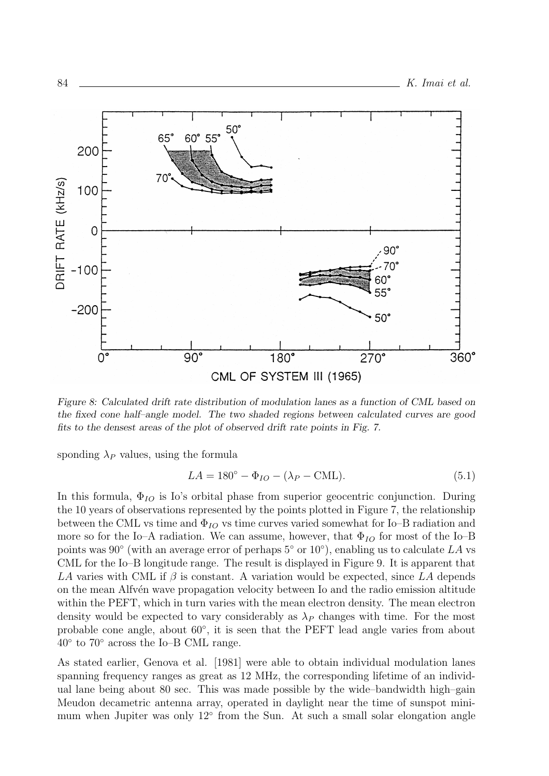

Figure 8: Calculated drift rate distribution of modulation lanes as a function of CML based on the fixed cone half–angle model. The two shaded regions between calculated curves are good fits to the densest areas of the plot of observed drift rate points in Fig. 7.

sponding  $\lambda_P$  values, using the formula

$$
LA = 180^{\circ} - \Phi_{IO} - (\lambda_P - \text{CML}).\tag{5.1}
$$

In this formula,  $\Phi_{IO}$  is Io's orbital phase from superior geocentric conjunction. During the 10 years of observations represented by the points plotted in Figure 7, the relationship between the CML vs time and  $\Phi_{IO}$  vs time curves varied somewhat for Io–B radiation and more so for the Io–A radiation. We can assume, however, that  $\Phi_{IO}$  for most of the Io–B points was 90 $\textdegree$  (with an average error of perhaps 5 $\textdegree$  or 10 $\textdegree$ ), enabling us to calculate LA vs CML for the Io–B longitude range. The result is displayed in Figure 9. It is apparent that LA varies with CML if  $\beta$  is constant. A variation would be expected, since LA depends on the mean Alfv<sup>en</sup> wave propagation velocity between Io and the radio emission altitude within the PEFT, which in turn varies with the mean electron density. The mean electron density would be expected to vary considerably as  $\lambda_P$  changes with time. For the most probable cone angle, about  $60^{\circ}$ , it is seen that the PEFT lead angle varies from about  $40^{\circ}$  to  $70^{\circ}$  across the Io–B CML range.

As stated earlier, Genova et al. [1981] were able to obtain individual modulation lanes spanning frequency ranges as great as 12 MHz, the corresponding lifetime of an individual lane being about 80 sec. This was made possible by the wide–bandwidth high–gain Meudon decametric antenna array, operated in daylight near the time of sunspot minimum when Jupiter was only 12<sup>°</sup> from the Sun. At such a small solar elongation angle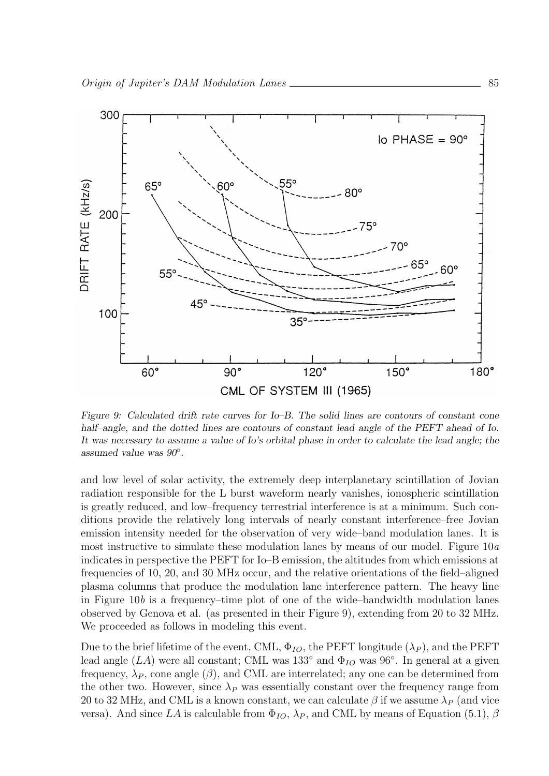

Figure 9: Calculated drift rate curves for Io–B. The solid lines are contours of constant cone half–angle, and the dotted lines are contours of constant lead angle of the PEFT ahead of Io. It was necessary to assume a value of Io's orbital phase in order to calculate the lead angle; the assumed value was 90◦ .

and low level of solar activity, the extremely deep interplanetary scintillation of Jovian radiation responsible for the L burst waveform nearly vanishes, ionospheric scintillation is greatly reduced, and low–frequency terrestrial interference is at a minimum. Such conditions provide the relatively long intervals of nearly constant interference–free Jovian emission intensity needed for the observation of very wide–band modulation lanes. It is most instructive to simulate these modulation lanes by means of our model. Figure  $10a$ indicates in perspective the PEFT for Io–B emission, the altitudes from which emissions at frequencies of 10, 20, and 30 MHz occur, and the relative orientations of the field–aligned plasma columns that produce the modulation lane interference pattern. The heavy line in Figure  $10b$  is a frequency–time plot of one of the wide–bandwidth modulation lanes observed by Genova et al. (as presented in their Figure 9), extending from 20 to 32 MHz. We proceeded as follows in modeling this event.

Due to the brief lifetime of the event, CML,  $\Phi_{IO}$ , the PEFT longitude  $(\lambda_P)$ , and the PEFT lead angle  $(LA)$  were all constant; CML was 133<sup>°</sup> and  $\Phi_{IO}$  was 96<sup>°</sup>. In general at a given frequency,  $\lambda_P$ , cone angle ( $\beta$ ), and CML are interrelated; any one can be determined from the other two. However, since  $\lambda_P$  was essentially constant over the frequency range from 20 to 32 MHz, and CML is a known constant, we can calculate  $\beta$  if we assume  $\lambda_P$  (and vice versa). And since LA is calculable from  $\Phi_{IO}$ ,  $\lambda_P$ , and CML by means of Equation (5.1),  $\beta$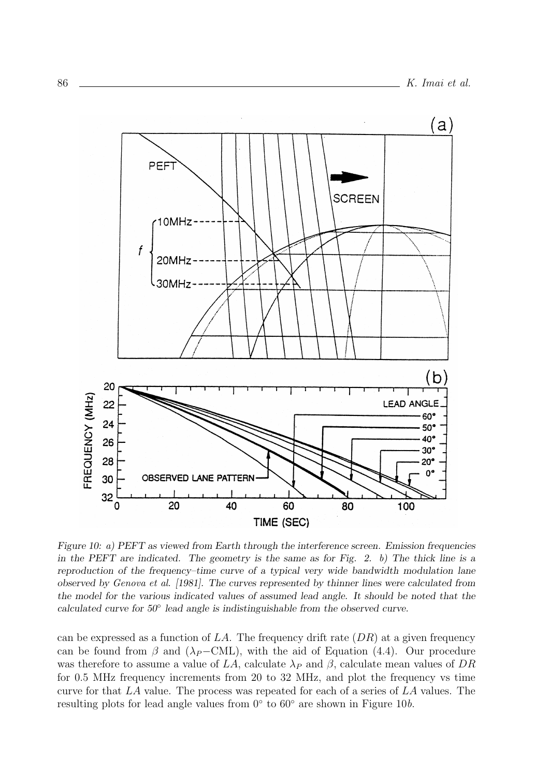

Figure 10: a) PEFT as viewed from Earth through the interference screen. Emission frequencies in the PEFT are indicated. The geometry is the same as for Fig. 2. b) The thick line is a reproduction of the frequency–time curve of a typical very wide bandwidth modulation lane observed by Genova et al. [1981]. The curves represented by thinner lines were calculated from the model for the various indicated values of assumed lead angle. It should be noted that the calculated curve for 50◦ lead angle is indistinguishable from the observed curve.

can be expressed as a function of  $LA$ . The frequency drift rate  $(DR)$  at a given frequency can be found from  $\beta$  and ( $\lambda_P$ −CML), with the aid of Equation (4.4). Our procedure was therefore to assume a value of LA, calculate  $\lambda_P$  and  $\beta$ , calculate mean values of DR for 0.5 MHz frequency increments from 20 to 32 MHz, and plot the frequency vs time curve for that LA value. The process was repeated for each of a series of LA values. The resulting plots for lead angle values from  $0^{\circ}$  to  $60^{\circ}$  are shown in Figure 10b.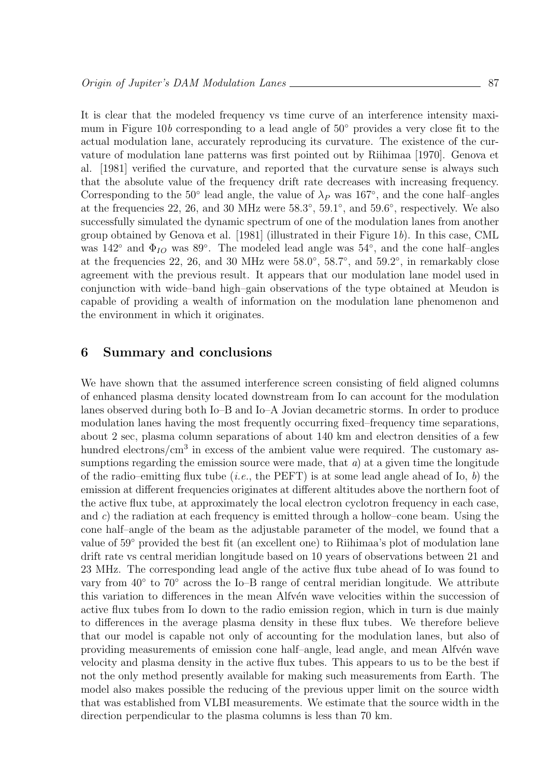It is clear that the modeled frequency vs time curve of an interference intensity maximum in Figure 10b corresponding to a lead angle of 50◦ provides a very close fit to the actual modulation lane, accurately reproducing its curvature. The existence of the curvature of modulation lane patterns was first pointed out by Riihimaa [1970]. Genova et al. [1981] verified the curvature, and reported that the curvature sense is always such that the absolute value of the frequency drift rate decreases with increasing frequency. Corresponding to the 50° lead angle, the value of  $\lambda_P$  was 167°, and the cone half–angles at the frequencies 22, 26, and 30 MHz were 58.3°, 59.1°, and 59.6°, respectively. We also successfully simulated the dynamic spectrum of one of the modulation lanes from another group obtained by Genova et al. [1981] (illustrated in their Figure 1b). In this case, CML was  $142°$  and  $\Phi_{IO}$  was  $89°$ . The modeled lead angle was  $54°$ , and the cone half-angles at the frequencies 22, 26, and 30 MHz were  $58.0^{\circ}$ ,  $58.7^{\circ}$ , and  $59.2^{\circ}$ , in remarkably close agreement with the previous result. It appears that our modulation lane model used in conjunction with wide–band high–gain observations of the type obtained at Meudon is capable of providing a wealth of information on the modulation lane phenomenon and the environment in which it originates.

# 6 Summary and conclusions

We have shown that the assumed interference screen consisting of field aligned columns of enhanced plasma density located downstream from Io can account for the modulation lanes observed during both Io–B and Io–A Jovian decametric storms. In order to produce modulation lanes having the most frequently occurring fixed–frequency time separations, about 2 sec, plasma column separations of about 140 km and electron densities of a few hundred electrons/cm<sup>3</sup> in excess of the ambient value were required. The customary assumptions regarding the emission source were made, that  $a$ ) at a given time the longitude of the radio–emitting flux tube (*i.e.*, the PEFT) is at some lead angle ahead of Io,  $b$ ) the emission at different frequencies originates at different altitudes above the northern foot of the active flux tube, at approximately the local electron cyclotron frequency in each case, and c) the radiation at each frequency is emitted through a hollow–cone beam. Using the cone half–angle of the beam as the adjustable parameter of the model, we found that a value of 59◦ provided the best fit (an excellent one) to Riihimaa's plot of modulation lane drift rate vs central meridian longitude based on 10 years of observations between 21 and 23 MHz. The corresponding lead angle of the active flux tube ahead of Io was found to vary from 40° to 70° across the Io–B range of central meridian longitude. We attribute this variation to differences in the mean Alfv $\acute{e}$ n wave velocities within the succession of active flux tubes from Io down to the radio emission region, which in turn is due mainly to differences in the average plasma density in these flux tubes. We therefore believe that our model is capable not only of accounting for the modulation lanes, but also of providing measurements of emission cone half–angle, lead angle, and mean Alfvén wave velocity and plasma density in the active flux tubes. This appears to us to be the best if not the only method presently available for making such measurements from Earth. The model also makes possible the reducing of the previous upper limit on the source width that was established from VLBI measurements. We estimate that the source width in the direction perpendicular to the plasma columns is less than 70 km.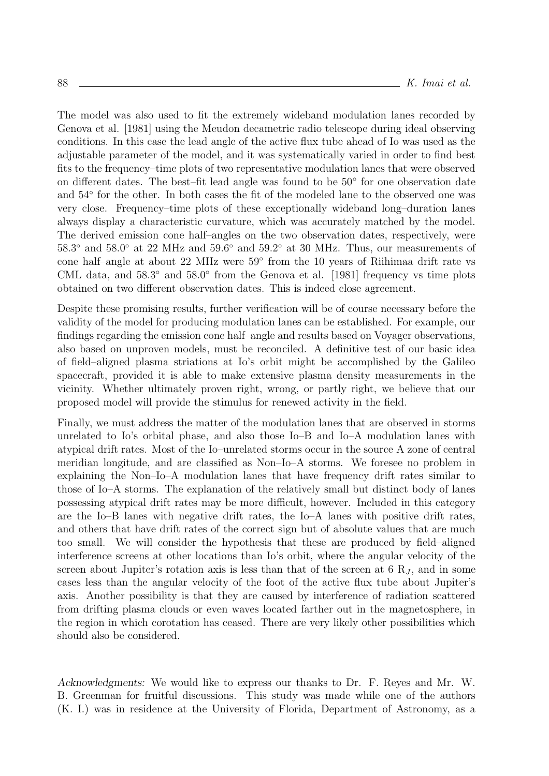The model was also used to fit the extremely wideband modulation lanes recorded by Genova et al. [1981] using the Meudon decametric radio telescope during ideal observing conditions. In this case the lead angle of the active flux tube ahead of Io was used as the adjustable parameter of the model, and it was systematically varied in order to find best fits to the frequency–time plots of two representative modulation lanes that were observed on different dates. The best–fit lead angle was found to be 50◦ for one observation date and  $54°$  for the other. In both cases the fit of the modeled lane to the observed one was very close. Frequency–time plots of these exceptionally wideband long–duration lanes always display a characteristic curvature, which was accurately matched by the model. The derived emission cone half–angles on the two observation dates, respectively, were 58.3◦ and 58.0◦ at 22 MHz and 59.6◦ and 59.2◦ at 30 MHz. Thus, our measurements of cone half–angle at about 22 MHz were 59◦ from the 10 years of Riihimaa drift rate vs CML data, and 58.3◦ and 58.0◦ from the Genova et al. [1981] frequency vs time plots obtained on two different observation dates. This is indeed close agreement.

Despite these promising results, further verification will be of course necessary before the validity of the model for producing modulation lanes can be established. For example, our findings regarding the emission cone half–angle and results based on Voyager observations, also based on unproven models, must be reconciled. A definitive test of our basic idea of field–aligned plasma striations at Io's orbit might be accomplished by the Galileo spacecraft, provided it is able to make extensive plasma density measurements in the vicinity. Whether ultimately proven right, wrong, or partly right, we believe that our proposed model will provide the stimulus for renewed activity in the field.

Finally, we must address the matter of the modulation lanes that are observed in storms unrelated to Io's orbital phase, and also those Io–B and Io–A modulation lanes with atypical drift rates. Most of the Io–unrelated storms occur in the source A zone of central meridian longitude, and are classified as Non–Io–A storms. We foresee no problem in explaining the Non–Io–A modulation lanes that have frequency drift rates similar to those of Io–A storms. The explanation of the relatively small but distinct body of lanes possessing atypical drift rates may be more difficult, however. Included in this category are the Io–B lanes with negative drift rates, the Io–A lanes with positive drift rates, and others that have drift rates of the correct sign but of absolute values that are much too small. We will consider the hypothesis that these are produced by field–aligned interference screens at other locations than Io's orbit, where the angular velocity of the screen about Jupiter's rotation axis is less than that of the screen at  $6 R_J$ , and in some cases less than the angular velocity of the foot of the active flux tube about Jupiter's axis. Another possibility is that they are caused by interference of radiation scattered from drifting plasma clouds or even waves located farther out in the magnetosphere, in the region in which corotation has ceased. There are very likely other possibilities which should also be considered.

Acknowledgments: We would like to express our thanks to Dr. F. Reyes and Mr. W. B. Greenman for fruitful discussions. This study was made while one of the authors (K. I.) was in residence at the University of Florida, Department of Astronomy, as a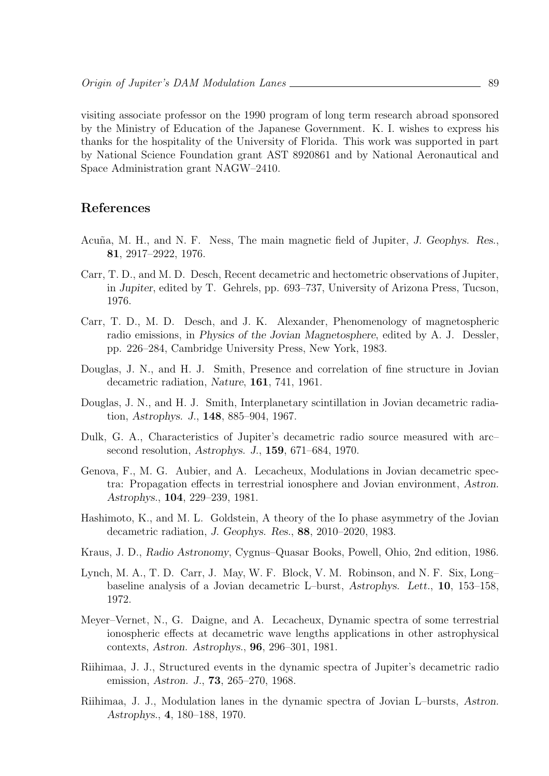visiting associate professor on the 1990 program of long term research abroad sponsored by the Ministry of Education of the Japanese Government. K. I. wishes to express his thanks for the hospitality of the University of Florida. This work was supported in part by National Science Foundation grant AST 8920861 and by National Aeronautical and Space Administration grant NAGW–2410.

# References

- Acuña, M. H., and N. F. Ness, The main magnetic field of Jupiter, J. Geophys. Res., 81, 2917–2922, 1976.
- Carr, T. D., and M. D. Desch, Recent decametric and hectometric observations of Jupiter, in Jupiter, edited by T. Gehrels, pp. 693–737, University of Arizona Press, Tucson, 1976.
- Carr, T. D., M. D. Desch, and J. K. Alexander, Phenomenology of magnetospheric radio emissions, in Physics of the Jovian Magnetosphere, edited by A. J. Dessler, pp. 226–284, Cambridge University Press, New York, 1983.
- Douglas, J. N., and H. J. Smith, Presence and correlation of fine structure in Jovian decametric radiation, Nature, 161, 741, 1961.
- Douglas, J. N., and H. J. Smith, Interplanetary scintillation in Jovian decametric radiation, Astrophys. J., 148, 885–904, 1967.
- Dulk, G. A., Characteristics of Jupiter's decametric radio source measured with arc– second resolution, Astrophys. J., 159, 671–684, 1970.
- Genova, F., M. G. Aubier, and A. Lecacheux, Modulations in Jovian decametric spectra: Propagation effects in terrestrial ionosphere and Jovian environment, Astron. Astrophys., 104, 229–239, 1981.
- Hashimoto, K., and M. L. Goldstein, A theory of the Io phase asymmetry of the Jovian decametric radiation, J. Geophys. Res., 88, 2010–2020, 1983.
- Kraus, J. D., Radio Astronomy, Cygnus–Quasar Books, Powell, Ohio, 2nd edition, 1986.
- Lynch, M. A., T. D. Carr, J. May, W. F. Block, V. M. Robinson, and N. F. Six, Long– baseline analysis of a Jovian decametric L–burst, Astrophys. Lett., 10, 153–158, 1972.
- Meyer–Vernet, N., G. Daigne, and A. Lecacheux, Dynamic spectra of some terrestrial ionospheric effects at decametric wave lengths applications in other astrophysical contexts, Astron. Astrophys., 96, 296–301, 1981.
- Riihimaa, J. J., Structured events in the dynamic spectra of Jupiter's decametric radio emission, Astron. J., 73, 265–270, 1968.
- Riihimaa, J. J., Modulation lanes in the dynamic spectra of Jovian L–bursts, Astron. Astrophys., 4, 180–188, 1970.